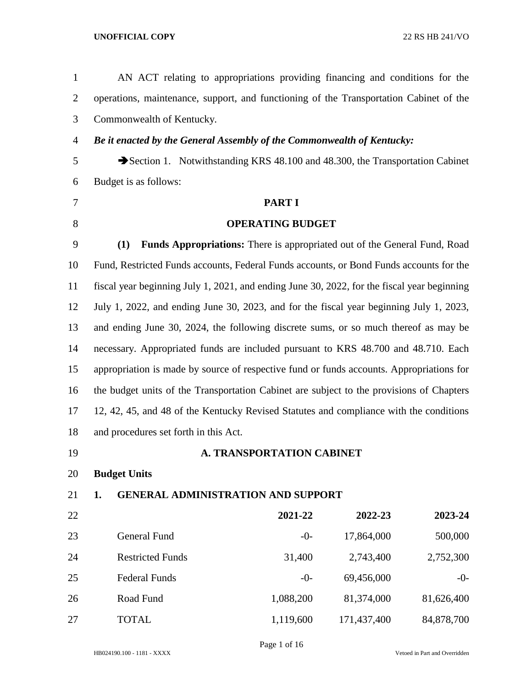| $\mathbf{1}$   | AN ACT relating to appropriations providing financing and conditions for the                |                                                                           |             |            |  |  |
|----------------|---------------------------------------------------------------------------------------------|---------------------------------------------------------------------------|-------------|------------|--|--|
| $\overline{2}$ | operations, maintenance, support, and functioning of the Transportation Cabinet of the      |                                                                           |             |            |  |  |
| 3              | Commonwealth of Kentucky.                                                                   |                                                                           |             |            |  |  |
| $\overline{4}$ | Be it enacted by the General Assembly of the Commonwealth of Kentucky:                      |                                                                           |             |            |  |  |
| 5              | Section 1. Notwithstanding KRS 48.100 and 48.300, the Transportation Cabinet                |                                                                           |             |            |  |  |
| 6              | Budget is as follows:                                                                       |                                                                           |             |            |  |  |
| 7              |                                                                                             | <b>PART I</b>                                                             |             |            |  |  |
| 8              |                                                                                             | <b>OPERATING BUDGET</b>                                                   |             |            |  |  |
| 9              | (1)                                                                                         | Funds Appropriations: There is appropriated out of the General Fund, Road |             |            |  |  |
| 10             | Fund, Restricted Funds accounts, Federal Funds accounts, or Bond Funds accounts for the     |                                                                           |             |            |  |  |
| 11             | fiscal year beginning July 1, 2021, and ending June 30, 2022, for the fiscal year beginning |                                                                           |             |            |  |  |
| 12             | July 1, 2022, and ending June 30, 2023, and for the fiscal year beginning July 1, 2023,     |                                                                           |             |            |  |  |
| 13             | and ending June 30, 2024, the following discrete sums, or so much thereof as may be         |                                                                           |             |            |  |  |
| 14             | necessary. Appropriated funds are included pursuant to KRS 48.700 and 48.710. Each          |                                                                           |             |            |  |  |
| 15             | appropriation is made by source of respective fund or funds accounts. Appropriations for    |                                                                           |             |            |  |  |
| 16             | the budget units of the Transportation Cabinet are subject to the provisions of Chapters    |                                                                           |             |            |  |  |
| 17             | 12, 42, 45, and 48 of the Kentucky Revised Statutes and compliance with the conditions      |                                                                           |             |            |  |  |
| 18             | and procedures set forth in this Act.                                                       |                                                                           |             |            |  |  |
| 19             |                                                                                             | A. TRANSPORTATION CABINET                                                 |             |            |  |  |
| 20             | <b>Budget Units</b>                                                                         |                                                                           |             |            |  |  |
| 21             | <b>GENERAL ADMINISTRATION AND SUPPORT</b><br>1.                                             |                                                                           |             |            |  |  |
| 22             |                                                                                             | 2021-22                                                                   | 2022-23     | 2023-24    |  |  |
| 23             | <b>General Fund</b>                                                                         | $-0-$                                                                     | 17,864,000  | 500,000    |  |  |
| 24             | <b>Restricted Funds</b>                                                                     | 31,400                                                                    | 2,743,400   | 2,752,300  |  |  |
| 25             | <b>Federal Funds</b>                                                                        | $-0-$                                                                     | 69,456,000  | $-0-$      |  |  |
| 26             | Road Fund                                                                                   | 1,088,200                                                                 | 81,374,000  | 81,626,400 |  |  |
| 27             | <b>TOTAL</b>                                                                                | 1,119,600                                                                 | 171,437,400 | 84,878,700 |  |  |
|                |                                                                                             |                                                                           |             |            |  |  |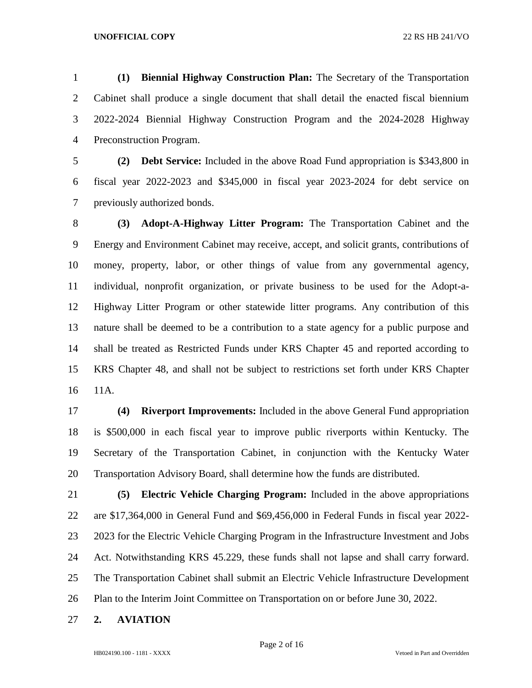**(1) Biennial Highway Construction Plan:** The Secretary of the Transportation Cabinet shall produce a single document that shall detail the enacted fiscal biennium 2022-2024 Biennial Highway Construction Program and the 2024-2028 Highway Preconstruction Program.

 **(2) Debt Service:** Included in the above Road Fund appropriation is \$343,800 in fiscal year 2022-2023 and \$345,000 in fiscal year 2023-2024 for debt service on previously authorized bonds.

 **(3) Adopt-A-Highway Litter Program:** The Transportation Cabinet and the Energy and Environment Cabinet may receive, accept, and solicit grants, contributions of money, property, labor, or other things of value from any governmental agency, individual, nonprofit organization, or private business to be used for the Adopt-a- Highway Litter Program or other statewide litter programs. Any contribution of this nature shall be deemed to be a contribution to a state agency for a public purpose and shall be treated as Restricted Funds under KRS Chapter 45 and reported according to KRS Chapter 48, and shall not be subject to restrictions set forth under KRS Chapter 11A.

 **(4) Riverport Improvements:** Included in the above General Fund appropriation is \$500,000 in each fiscal year to improve public riverports within Kentucky. The Secretary of the Transportation Cabinet, in conjunction with the Kentucky Water Transportation Advisory Board, shall determine how the funds are distributed.

- **(5) Electric Vehicle Charging Program:** Included in the above appropriations are \$17,364,000 in General Fund and \$69,456,000 in Federal Funds in fiscal year 2022- 2023 for the Electric Vehicle Charging Program in the Infrastructure Investment and Jobs Act. Notwithstanding KRS 45.229, these funds shall not lapse and shall carry forward. The Transportation Cabinet shall submit an Electric Vehicle Infrastructure Development Plan to the Interim Joint Committee on Transportation on or before June 30, 2022.
- **2. AVIATION**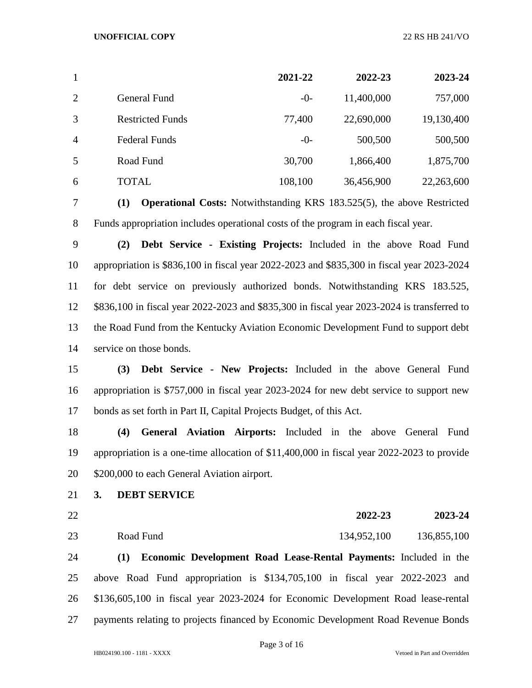| $\mathbf{1}$   |                         | 2021-22 | 2022-23    | 2023-24    |
|----------------|-------------------------|---------|------------|------------|
| $\overline{2}$ | General Fund            | $-0-$   | 11,400,000 | 757,000    |
| 3              | <b>Restricted Funds</b> | 77,400  | 22,690,000 | 19,130,400 |
| $\overline{4}$ | <b>Federal Funds</b>    | $-0-$   | 500,500    | 500,500    |
| 5              | Road Fund               | 30,700  | 1,866,400  | 1,875,700  |
| 6              | TOTAL                   | 108,100 | 36,456,900 | 22,263,600 |

 **(1) Operational Costs:** Notwithstanding KRS 183.525(5), the above Restricted Funds appropriation includes operational costs of the program in each fiscal year.

 **(2) Debt Service - Existing Projects:** Included in the above Road Fund appropriation is \$836,100 in fiscal year 2022-2023 and \$835,300 in fiscal year 2023-2024 for debt service on previously authorized bonds. Notwithstanding KRS 183.525, \$836,100 in fiscal year 2022-2023 and \$835,300 in fiscal year 2023-2024 is transferred to the Road Fund from the Kentucky Aviation Economic Development Fund to support debt service on those bonds.

 **(3) Debt Service - New Projects:** Included in the above General Fund appropriation is \$757,000 in fiscal year 2023-2024 for new debt service to support new bonds as set forth in Part II, Capital Projects Budget, of this Act.

 **(4) General Aviation Airports:** Included in the above General Fund appropriation is a one-time allocation of \$11,400,000 in fiscal year 2022-2023 to provide \$200,000 to each General Aviation airport.

- **3. DEBT SERVICE**
- 

**2022-23 2023-24**

Road Fund 134,952,100 136,855,100

 **(1) Economic Development Road Lease-Rental Payments:** Included in the above Road Fund appropriation is \$134,705,100 in fiscal year 2022-2023 and \$136,605,100 in fiscal year 2023-2024 for Economic Development Road lease-rental payments relating to projects financed by Economic Development Road Revenue Bonds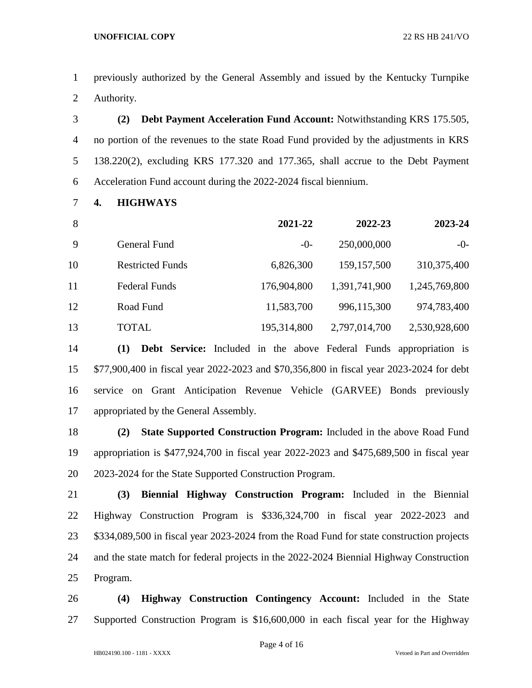previously authorized by the General Assembly and issued by the Kentucky Turnpike Authority.

 **(2) Debt Payment Acceleration Fund Account:** Notwithstanding KRS 175.505, no portion of the revenues to the state Road Fund provided by the adjustments in KRS 138.220(2), excluding KRS 177.320 and 177.365, shall accrue to the Debt Payment Acceleration Fund account during the 2022-2024 fiscal biennium.

**4. HIGHWAYS**

| 8  |                         | 2021-22     | 2022-23       | 2023-24       |
|----|-------------------------|-------------|---------------|---------------|
| 9  | General Fund            | $-0-$       | 250,000,000   | $-0-$         |
| 10 | <b>Restricted Funds</b> | 6,826,300   | 159, 157, 500 | 310, 375, 400 |
| 11 | <b>Federal Funds</b>    | 176,904,800 | 1,391,741,900 | 1,245,769,800 |
| 12 | Road Fund               | 11,583,700  | 996,115,300   | 974,783,400   |
| 13 | TOTAL                   | 195,314,800 | 2,797,014,700 | 2,530,928,600 |

 **(1) Debt Service:** Included in the above Federal Funds appropriation is \$77,900,400 in fiscal year 2022-2023 and \$70,356,800 in fiscal year 2023-2024 for debt service on Grant Anticipation Revenue Vehicle (GARVEE) Bonds previously appropriated by the General Assembly.

 **(2) State Supported Construction Program:** Included in the above Road Fund appropriation is \$477,924,700 in fiscal year 2022-2023 and \$475,689,500 in fiscal year 2023-2024 for the State Supported Construction Program.

 **(3) Biennial Highway Construction Program:** Included in the Biennial Highway Construction Program is \$336,324,700 in fiscal year 2022-2023 and \$334,089,500 in fiscal year 2023-2024 from the Road Fund for state construction projects and the state match for federal projects in the 2022-2024 Biennial Highway Construction Program.

 **(4) Highway Construction Contingency Account:** Included in the State Supported Construction Program is \$16,600,000 in each fiscal year for the Highway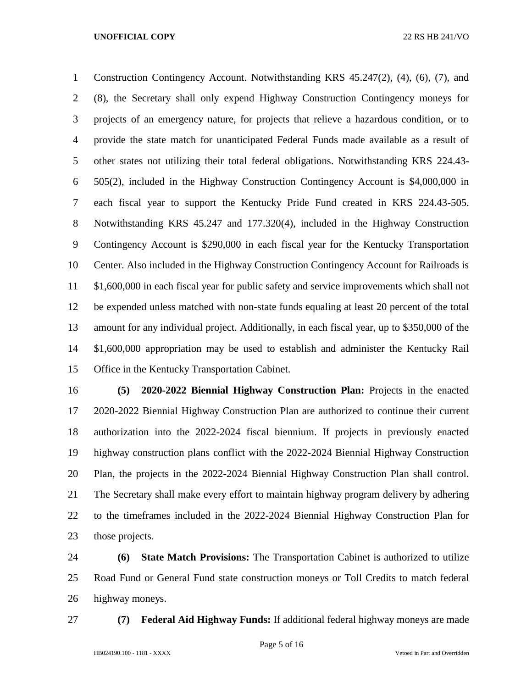Construction Contingency Account. Notwithstanding KRS 45.247(2), (4), (6), (7), and (8), the Secretary shall only expend Highway Construction Contingency moneys for projects of an emergency nature, for projects that relieve a hazardous condition, or to provide the state match for unanticipated Federal Funds made available as a result of other states not utilizing their total federal obligations. Notwithstanding KRS 224.43- 505(2), included in the Highway Construction Contingency Account is \$4,000,000 in each fiscal year to support the Kentucky Pride Fund created in KRS 224.43-505. Notwithstanding KRS 45.247 and 177.320(4), included in the Highway Construction Contingency Account is \$290,000 in each fiscal year for the Kentucky Transportation Center. Also included in the Highway Construction Contingency Account for Railroads is \$1,600,000 in each fiscal year for public safety and service improvements which shall not be expended unless matched with non-state funds equaling at least 20 percent of the total amount for any individual project. Additionally, in each fiscal year, up to \$350,000 of the \$1,600,000 appropriation may be used to establish and administer the Kentucky Rail Office in the Kentucky Transportation Cabinet.

 **(5) 2020-2022 Biennial Highway Construction Plan:** Projects in the enacted 2020-2022 Biennial Highway Construction Plan are authorized to continue their current authorization into the 2022-2024 fiscal biennium. If projects in previously enacted highway construction plans conflict with the 2022-2024 Biennial Highway Construction Plan, the projects in the 2022-2024 Biennial Highway Construction Plan shall control. The Secretary shall make every effort to maintain highway program delivery by adhering to the timeframes included in the 2022-2024 Biennial Highway Construction Plan for those projects.

 **(6) State Match Provisions:** The Transportation Cabinet is authorized to utilize Road Fund or General Fund state construction moneys or Toll Credits to match federal highway moneys.

**(7) Federal Aid Highway Funds:** If additional federal highway moneys are made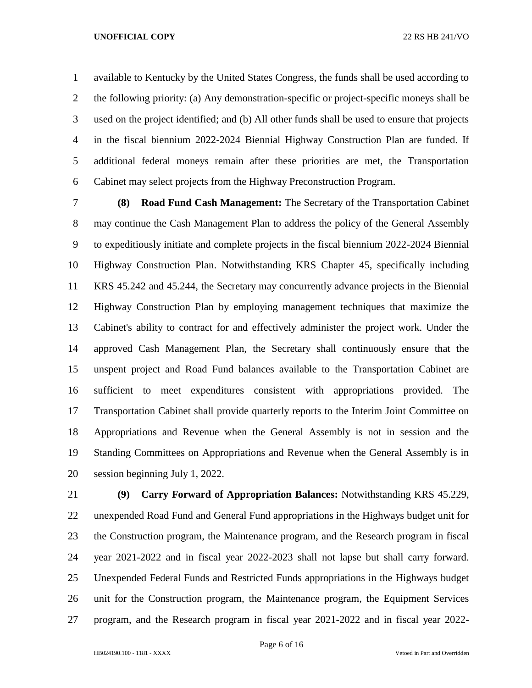available to Kentucky by the United States Congress, the funds shall be used according to the following priority: (a) Any demonstration-specific or project-specific moneys shall be used on the project identified; and (b) All other funds shall be used to ensure that projects in the fiscal biennium 2022-2024 Biennial Highway Construction Plan are funded. If additional federal moneys remain after these priorities are met, the Transportation Cabinet may select projects from the Highway Preconstruction Program.

 **(8) Road Fund Cash Management:** The Secretary of the Transportation Cabinet may continue the Cash Management Plan to address the policy of the General Assembly to expeditiously initiate and complete projects in the fiscal biennium 2022-2024 Biennial Highway Construction Plan. Notwithstanding KRS Chapter 45, specifically including KRS 45.242 and 45.244, the Secretary may concurrently advance projects in the Biennial Highway Construction Plan by employing management techniques that maximize the Cabinet's ability to contract for and effectively administer the project work. Under the approved Cash Management Plan, the Secretary shall continuously ensure that the unspent project and Road Fund balances available to the Transportation Cabinet are sufficient to meet expenditures consistent with appropriations provided. The Transportation Cabinet shall provide quarterly reports to the Interim Joint Committee on Appropriations and Revenue when the General Assembly is not in session and the Standing Committees on Appropriations and Revenue when the General Assembly is in session beginning July 1, 2022.

 **(9) Carry Forward of Appropriation Balances:** Notwithstanding KRS 45.229, unexpended Road Fund and General Fund appropriations in the Highways budget unit for the Construction program, the Maintenance program, and the Research program in fiscal year 2021-2022 and in fiscal year 2022-2023 shall not lapse but shall carry forward. Unexpended Federal Funds and Restricted Funds appropriations in the Highways budget unit for the Construction program, the Maintenance program, the Equipment Services program, and the Research program in fiscal year 2021-2022 and in fiscal year 2022-

Page 6 of 16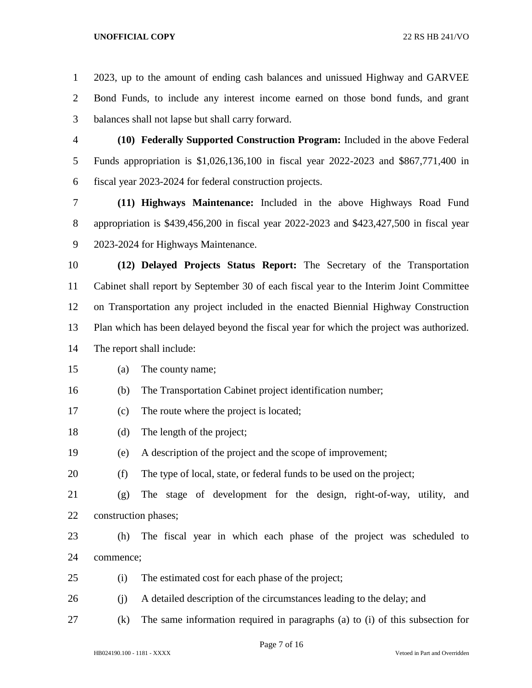2023, up to the amount of ending cash balances and unissued Highway and GARVEE Bond Funds, to include any interest income earned on those bond funds, and grant balances shall not lapse but shall carry forward.

 **(10) Federally Supported Construction Program:** Included in the above Federal Funds appropriation is \$1,026,136,100 in fiscal year 2022-2023 and \$867,771,400 in fiscal year 2023-2024 for federal construction projects.

 **(11) Highways Maintenance:** Included in the above Highways Road Fund appropriation is \$439,456,200 in fiscal year 2022-2023 and \$423,427,500 in fiscal year 2023-2024 for Highways Maintenance.

 **(12) Delayed Projects Status Report:** The Secretary of the Transportation Cabinet shall report by September 30 of each fiscal year to the Interim Joint Committee on Transportation any project included in the enacted Biennial Highway Construction Plan which has been delayed beyond the fiscal year for which the project was authorized. The report shall include:

(a) The county name;

(b) The Transportation Cabinet project identification number;

- (c) The route where the project is located;
- (d) The length of the project;

(e) A description of the project and the scope of improvement;

(f) The type of local, state, or federal funds to be used on the project;

 (g) The stage of development for the design, right-of-way, utility, and construction phases;

 (h) The fiscal year in which each phase of the project was scheduled to commence;

- (i) The estimated cost for each phase of the project;
- (j) A detailed description of the circumstances leading to the delay; and
- (k) The same information required in paragraphs (a) to (i) of this subsection for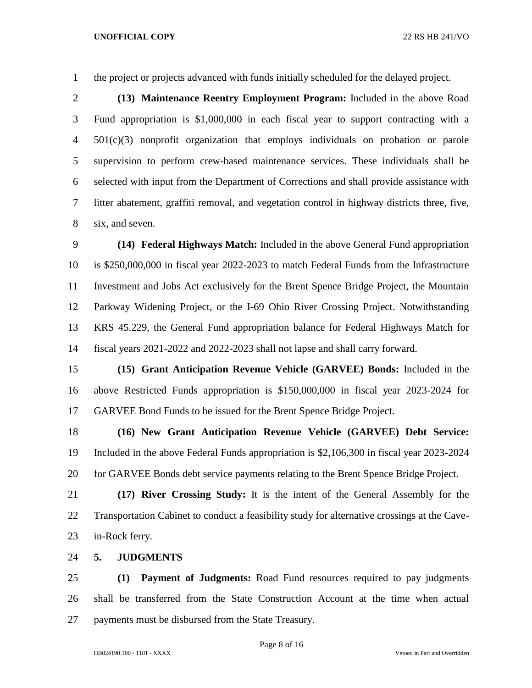the project or projects advanced with funds initially scheduled for the delayed project.

 **(13) Maintenance Reentry Employment Program:** Included in the above Road Fund appropriation is \$1,000,000 in each fiscal year to support contracting with a 501(c)(3) nonprofit organization that employs individuals on probation or parole supervision to perform crew-based maintenance services. These individuals shall be selected with input from the Department of Corrections and shall provide assistance with litter abatement, graffiti removal, and vegetation control in highway districts three, five, six, and seven.

 **(14) Federal Highways Match:** Included in the above General Fund appropriation is \$250,000,000 in fiscal year 2022-2023 to match Federal Funds from the Infrastructure Investment and Jobs Act exclusively for the Brent Spence Bridge Project, the Mountain Parkway Widening Project, or the I-69 Ohio River Crossing Project. Notwithstanding KRS 45.229, the General Fund appropriation balance for Federal Highways Match for fiscal years 2021-2022 and 2022-2023 shall not lapse and shall carry forward.

 **(15) Grant Anticipation Revenue Vehicle (GARVEE) Bonds:** Included in the above Restricted Funds appropriation is \$150,000,000 in fiscal year 2023-2024 for GARVEE Bond Funds to be issued for the Brent Spence Bridge Project.

 **(16) New Grant Anticipation Revenue Vehicle (GARVEE) Debt Service:**  Included in the above Federal Funds appropriation is \$2,106,300 in fiscal year 2023-2024 for GARVEE Bonds debt service payments relating to the Brent Spence Bridge Project.

 **(17) River Crossing Study:** It is the intent of the General Assembly for the Transportation Cabinet to conduct a feasibility study for alternative crossings at the Cave-in-Rock ferry.

**5. JUDGMENTS**

 **(1) Payment of Judgments:** Road Fund resources required to pay judgments shall be transferred from the State Construction Account at the time when actual payments must be disbursed from the State Treasury.

Page 8 of 16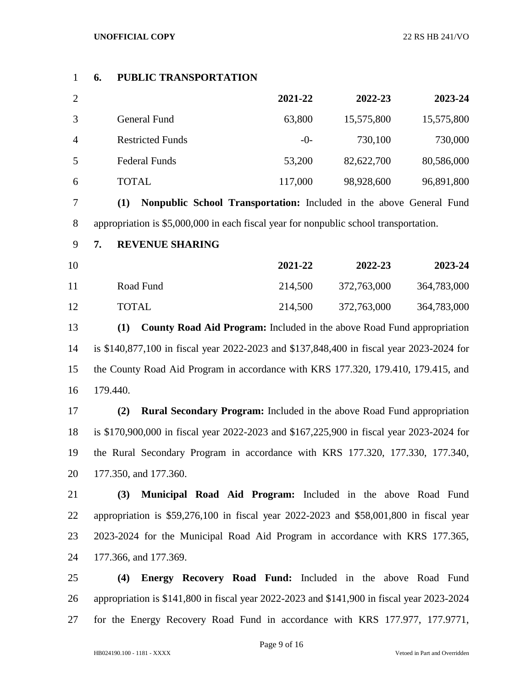# **6. PUBLIC TRANSPORTATION**

| $\overline{2}$ |                         | 2021-22 | 2022-23    | 2023-24    |
|----------------|-------------------------|---------|------------|------------|
| 3              | General Fund            | 63,800  | 15,575,800 | 15,575,800 |
| $\overline{A}$ | <b>Restricted Funds</b> | $-()$   | 730,100    | 730,000    |
| 5              | <b>Federal Funds</b>    | 53,200  | 82,622,700 | 80,586,000 |
| 6              | TOTAL                   | 117,000 | 98,928,600 | 96,891,800 |

 **(1) Nonpublic School Transportation:** Included in the above General Fund appropriation is \$5,000,000 in each fiscal year for nonpublic school transportation.

- **7. REVENUE SHARING**
- **2021-22 2022-23 2023-24** Road Fund 214,500 372,763,000 364,783,000 TOTAL 214,500 372,763,000 364,783,000

 **(1) County Road Aid Program:** Included in the above Road Fund appropriation is \$140,877,100 in fiscal year 2022-2023 and \$137,848,400 in fiscal year 2023-2024 for the County Road Aid Program in accordance with KRS 177.320, 179.410, 179.415, and 179.440.

 **(2) Rural Secondary Program:** Included in the above Road Fund appropriation is \$170,900,000 in fiscal year 2022-2023 and \$167,225,900 in fiscal year 2023-2024 for the Rural Secondary Program in accordance with KRS 177.320, 177.330, 177.340, 177.350, and 177.360.

 **(3) Municipal Road Aid Program:** Included in the above Road Fund appropriation is \$59,276,100 in fiscal year 2022-2023 and \$58,001,800 in fiscal year 2023-2024 for the Municipal Road Aid Program in accordance with KRS 177.365, 177.366, and 177.369.

 **(4) Energy Recovery Road Fund:** Included in the above Road Fund appropriation is \$141,800 in fiscal year 2022-2023 and \$141,900 in fiscal year 2023-2024 for the Energy Recovery Road Fund in accordance with KRS 177.977, 177.9771,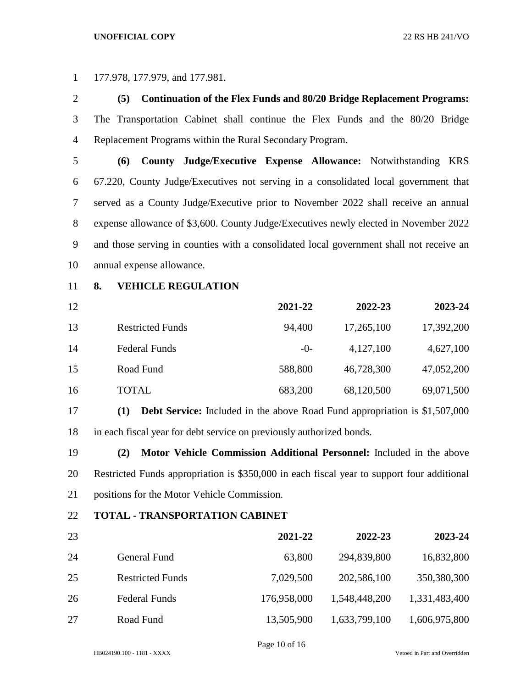177.978, 177.979, and 177.981.

 **(5) Continuation of the Flex Funds and 80/20 Bridge Replacement Programs:**  The Transportation Cabinet shall continue the Flex Funds and the 80/20 Bridge Replacement Programs within the Rural Secondary Program.

 **(6) County Judge/Executive Expense Allowance:** Notwithstanding KRS 67.220, County Judge/Executives not serving in a consolidated local government that served as a County Judge/Executive prior to November 2022 shall receive an annual expense allowance of \$3,600. County Judge/Executives newly elected in November 2022 and those serving in counties with a consolidated local government shall not receive an annual expense allowance.

**8. VEHICLE REGULATION**

| 12 |                         | 2021-22 | 2022-23    | 2023-24    |
|----|-------------------------|---------|------------|------------|
| 13 | <b>Restricted Funds</b> | 94,400  | 17,265,100 | 17,392,200 |
| 14 | <b>Federal Funds</b>    | $-0-$   | 4,127,100  | 4,627,100  |
| 15 | Road Fund               | 588,800 | 46,728,300 | 47,052,200 |
| 16 | <b>TOTAL</b>            | 683,200 | 68,120,500 | 69,071,500 |

 **(1) Debt Service:** Included in the above Road Fund appropriation is \$1,507,000 in each fiscal year for debt service on previously authorized bonds.

 **(2) Motor Vehicle Commission Additional Personnel:** Included in the above Restricted Funds appropriation is \$350,000 in each fiscal year to support four additional positions for the Motor Vehicle Commission.

## **TOTAL - TRANSPORTATION CABINET**

| 23 |                         | 2021-22     | 2022-23       | 2023-24       |
|----|-------------------------|-------------|---------------|---------------|
| 24 | General Fund            | 63,800      | 294,839,800   | 16,832,800    |
| 25 | <b>Restricted Funds</b> | 7,029,500   | 202,586,100   | 350,380,300   |
| 26 | <b>Federal Funds</b>    | 176,958,000 | 1,548,448,200 | 1,331,483,400 |
| 27 | Road Fund               | 13,505,900  | 1,633,799,100 | 1,606,975,800 |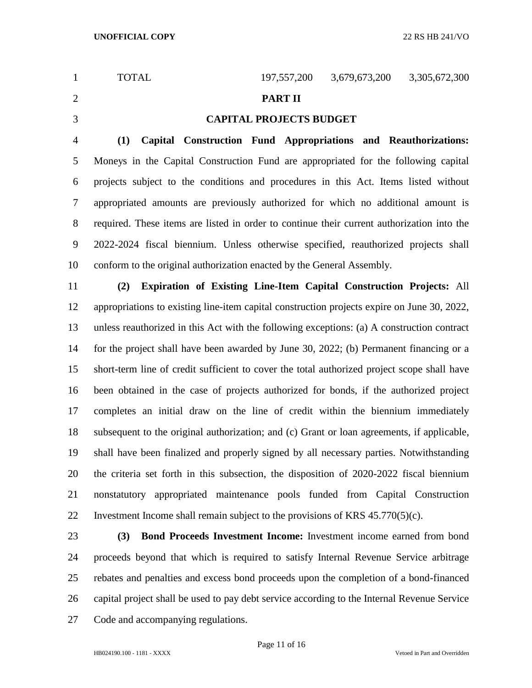1 TOTAL 197,557,200 3,679,673,200 3,305,672,300 **PART II CAPITAL PROJECTS BUDGET (1) Capital Construction Fund Appropriations and Reauthorizations:**  Moneys in the Capital Construction Fund are appropriated for the following capital projects subject to the conditions and procedures in this Act. Items listed without appropriated amounts are previously authorized for which no additional amount is required. These items are listed in order to continue their current authorization into the 2022-2024 fiscal biennium. Unless otherwise specified, reauthorized projects shall conform to the original authorization enacted by the General Assembly. **(2) Expiration of Existing Line-Item Capital Construction Projects:** All appropriations to existing line-item capital construction projects expire on June 30, 2022, unless reauthorized in this Act with the following exceptions: (a) A construction contract for the project shall have been awarded by June 30, 2022; (b) Permanent financing or a short-term line of credit sufficient to cover the total authorized project scope shall have been obtained in the case of projects authorized for bonds, if the authorized project completes an initial draw on the line of credit within the biennium immediately subsequent to the original authorization; and (c) Grant or loan agreements, if applicable, shall have been finalized and properly signed by all necessary parties. Notwithstanding the criteria set forth in this subsection, the disposition of 2020-2022 fiscal biennium nonstatutory appropriated maintenance pools funded from Capital Construction 22 Investment Income shall remain subject to the provisions of KRS  $45.770(5)(c)$ . **(3) Bond Proceeds Investment Income:** Investment income earned from bond

 proceeds beyond that which is required to satisfy Internal Revenue Service arbitrage rebates and penalties and excess bond proceeds upon the completion of a bond-financed capital project shall be used to pay debt service according to the Internal Revenue Service Code and accompanying regulations.

Page 11 of 16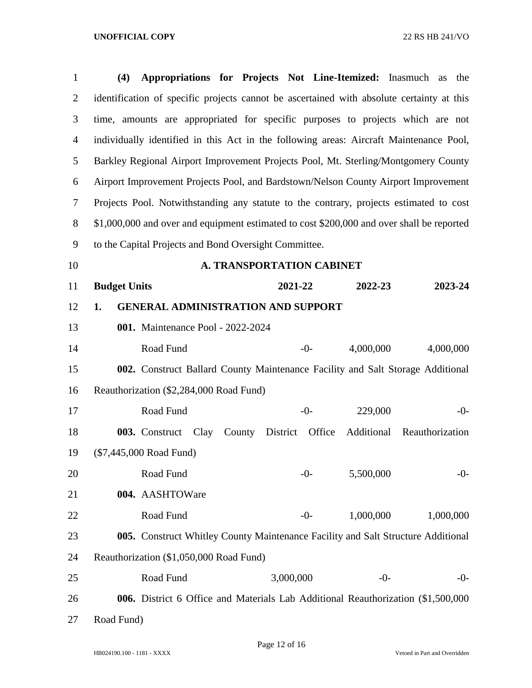| $\mathbf{1}$   | Appropriations for Projects Not Line-Itemized: Inasmuch<br>(4)<br>the<br>as               |
|----------------|-------------------------------------------------------------------------------------------|
| $\overline{2}$ | identification of specific projects cannot be ascertained with absolute certainty at this |
| 3              | time, amounts are appropriated for specific purposes to projects which are not            |
| $\overline{4}$ | individually identified in this Act in the following areas: Aircraft Maintenance Pool,    |
| 5              | Barkley Regional Airport Improvement Projects Pool, Mt. Sterling/Montgomery County        |
| 6              | Airport Improvement Projects Pool, and Bardstown/Nelson County Airport Improvement        |
| $\overline{7}$ | Projects Pool. Notwithstanding any statute to the contrary, projects estimated to cost    |
| $8\,$          | \$1,000,000 and over and equipment estimated to cost \$200,000 and over shall be reported |
| 9              | to the Capital Projects and Bond Oversight Committee.                                     |
| 10             | <b>A. TRANSPORTATION CABINET</b>                                                          |
| 11             | <b>Budget Units</b><br>2021-22<br>2023-24<br>2022-23                                      |
| 12             | <b>GENERAL ADMINISTRATION AND SUPPORT</b><br>1.                                           |
| 13             | 001. Maintenance Pool - 2022-2024                                                         |
| 14             | Road Fund<br>4,000,000<br>4,000,000<br>$-0-$                                              |
| 15             | 002. Construct Ballard County Maintenance Facility and Salt Storage Additional            |
| 16             | Reauthorization (\$2,284,000 Road Fund)                                                   |
| 17             | Road Fund<br>229,000<br>$-0-$<br>$-0-$                                                    |
| 18             | County District Office<br>Additional Reauthorization<br>Clay<br>003. Construct            |
| 19             | (\$7,445,000 Road Fund)                                                                   |
| 20             | 5,500,000<br>Road Fund<br>$-0-$<br>$-0-$                                                  |
| 21             | 004. AASHTOWare                                                                           |
| 22             | Road Fund<br>1,000,000<br>1,000,000<br>$-0-$                                              |
| 23             | 005. Construct Whitley County Maintenance Facility and Salt Structure Additional          |
| 24             | Reauthorization (\$1,050,000 Road Fund)                                                   |
| 25             | Road Fund<br>3,000,000<br>$-0-$<br>$-0-$                                                  |
| 26             | 006. District 6 Office and Materials Lab Additional Reauthorization (\$1,500,000          |
| 27             | Road Fund)                                                                                |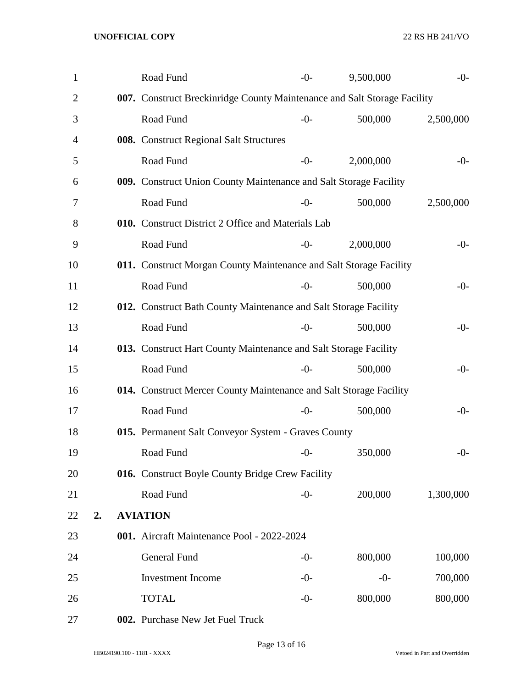| 1              |    | Road Fund                                                                | $-0-$ | 9,500,000 | $-0-$     |
|----------------|----|--------------------------------------------------------------------------|-------|-----------|-----------|
| $\overline{2}$ |    | 007. Construct Breckinridge County Maintenance and Salt Storage Facility |       |           |           |
| 3              |    | Road Fund                                                                | $-0-$ | 500,000   | 2,500,000 |
| 4              |    | 008. Construct Regional Salt Structures                                  |       |           |           |
| 5              |    | Road Fund                                                                | $-0-$ | 2,000,000 | $-0-$     |
| 6              |    | 009. Construct Union County Maintenance and Salt Storage Facility        |       |           |           |
| 7              |    | Road Fund                                                                | $-0-$ | 500,000   | 2,500,000 |
| 8              |    | 010. Construct District 2 Office and Materials Lab                       |       |           |           |
| 9              |    | Road Fund                                                                | $-0-$ | 2,000,000 | $-0-$     |
| 10             |    | 011. Construct Morgan County Maintenance and Salt Storage Facility       |       |           |           |
| 11             |    | Road Fund                                                                | $-0-$ | 500,000   | $-0-$     |
| 12             |    | 012. Construct Bath County Maintenance and Salt Storage Facility         |       |           |           |
| 13             |    | Road Fund                                                                | $-0-$ | 500,000   | $-0-$     |
| 14             |    | 013. Construct Hart County Maintenance and Salt Storage Facility         |       |           |           |
| 15             |    | Road Fund                                                                | $-0-$ | 500,000   | $-0-$     |
| 16             |    | 014. Construct Mercer County Maintenance and Salt Storage Facility       |       |           |           |
| 17             |    | Road Fund                                                                | $-0-$ | 500,000   | $-0-$     |
| 18             |    | 015. Permanent Salt Conveyor System - Graves County                      |       |           |           |
| 19             |    | Road Fund                                                                | $-0-$ | 350,000   | $-0-$     |
| 20             |    | 016. Construct Boyle County Bridge Crew Facility                         |       |           |           |
| 21             |    | Road Fund                                                                | $-0-$ | 200,000   | 1,300,000 |
| 22             | 2. | <b>AVIATION</b>                                                          |       |           |           |
| 23             |    | 001. Aircraft Maintenance Pool - 2022-2024                               |       |           |           |
| 24             |    | General Fund                                                             | $-0-$ | 800,000   | 100,000   |
| 25             |    | <b>Investment Income</b>                                                 | $-0-$ | $-0-$     | 700,000   |
| 26             |    | <b>TOTAL</b>                                                             | $-0-$ | 800,000   | 800,000   |
|                |    |                                                                          |       |           |           |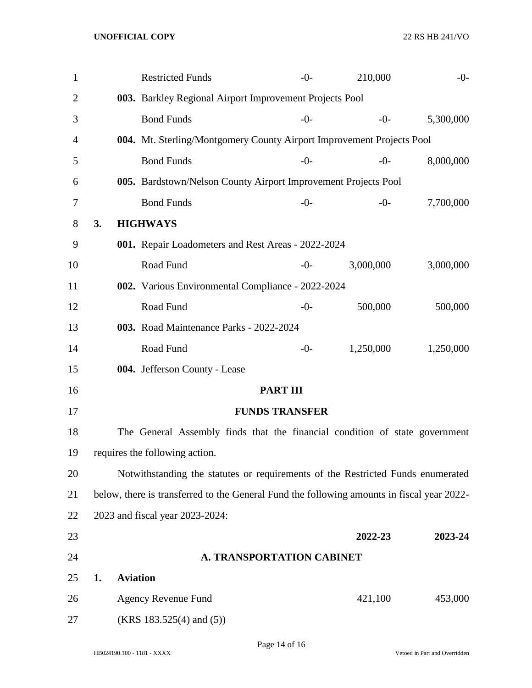| $\mathbf{1}$ |                       | <b>Restricted Funds</b>                                                                    |                                  | $-0-$ | 210,000   | $-0-$     |
|--------------|-----------------------|--------------------------------------------------------------------------------------------|----------------------------------|-------|-----------|-----------|
| 2            |                       | 003. Barkley Regional Airport Improvement Projects Pool                                    |                                  |       |           |           |
| 3            |                       | <b>Bond Funds</b>                                                                          |                                  | $-0-$ | $-0-$     | 5,300,000 |
| 4            |                       | 004. Mt. Sterling/Montgomery County Airport Improvement Projects Pool                      |                                  |       |           |           |
| 5            |                       | <b>Bond Funds</b>                                                                          |                                  | $-0-$ | $-0-$     | 8,000,000 |
| 6            |                       | 005. Bardstown/Nelson County Airport Improvement Projects Pool                             |                                  |       |           |           |
| 7            |                       | <b>Bond Funds</b>                                                                          |                                  | $-0-$ | $-0-$     | 7,700,000 |
| 8            | 3.                    | <b>HIGHWAYS</b>                                                                            |                                  |       |           |           |
| 9            |                       | 001. Repair Loadometers and Rest Areas - 2022-2024                                         |                                  |       |           |           |
| 10           |                       | Road Fund                                                                                  |                                  | $-0-$ | 3,000,000 | 3,000,000 |
| 11           |                       | 002. Various Environmental Compliance - 2022-2024                                          |                                  |       |           |           |
| 12           |                       | Road Fund                                                                                  |                                  | $-0-$ | 500,000   | 500,000   |
| 13           |                       | 003. Road Maintenance Parks - 2022-2024                                                    |                                  |       |           |           |
| 14           |                       | Road Fund                                                                                  |                                  | $-0-$ | 1,250,000 | 1,250,000 |
| 15           |                       | 004. Jefferson County - Lease                                                              |                                  |       |           |           |
| 16           |                       |                                                                                            | <b>PART III</b>                  |       |           |           |
| 17           |                       |                                                                                            | <b>FUNDS TRANSFER</b>            |       |           |           |
| 18           |                       | The General Assembly finds that the financial condition of state government                |                                  |       |           |           |
| 19           |                       | requires the following action.                                                             |                                  |       |           |           |
| 20           |                       | Notwithstanding the statutes or requirements of the Restricted Funds enumerated            |                                  |       |           |           |
| 21           |                       | below, there is transferred to the General Fund the following amounts in fiscal year 2022- |                                  |       |           |           |
| 22           |                       | 2023 and fiscal year 2023-2024:                                                            |                                  |       |           |           |
| 23           |                       |                                                                                            |                                  |       | 2022-23   | 2023-24   |
| 24           |                       |                                                                                            | <b>A. TRANSPORTATION CABINET</b> |       |           |           |
| 25           | <b>Aviation</b><br>1. |                                                                                            |                                  |       |           |           |
| 26           |                       | <b>Agency Revenue Fund</b>                                                                 |                                  |       | 421,100   | 453,000   |
| 27           |                       | $(KRS 183.525(4)$ and $(5))$                                                               |                                  |       |           |           |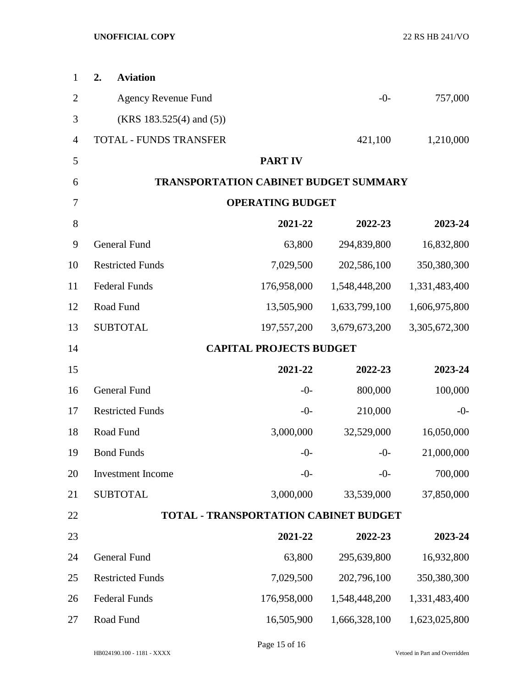| 1              | 2.<br><b>Aviation</b>         |                                              |               |               |
|----------------|-------------------------------|----------------------------------------------|---------------|---------------|
| $\overline{2}$ | <b>Agency Revenue Fund</b>    |                                              | $-0-$         | 757,000       |
| 3              | $(KRS 183.525(4)$ and $(5)$ ) |                                              |               |               |
| $\overline{4}$ | TOTAL - FUNDS TRANSFER        |                                              | 421,100       | 1,210,000     |
| 5              |                               | <b>PART IV</b>                               |               |               |
| 6              |                               | <b>TRANSPORTATION CABINET BUDGET SUMMARY</b> |               |               |
| 7              |                               | <b>OPERATING BUDGET</b>                      |               |               |
| 8              |                               | 2021-22                                      | 2022-23       | 2023-24       |
| 9              | <b>General Fund</b>           | 63,800                                       | 294,839,800   | 16,832,800    |
| 10             | <b>Restricted Funds</b>       | 7,029,500                                    | 202,586,100   | 350,380,300   |
| 11             | <b>Federal Funds</b>          | 176,958,000                                  | 1,548,448,200 | 1,331,483,400 |
| 12             | Road Fund                     | 13,505,900                                   | 1,633,799,100 | 1,606,975,800 |
| 13             | <b>SUBTOTAL</b>               | 197,557,200                                  | 3,679,673,200 | 3,305,672,300 |
| 14             |                               | <b>CAPITAL PROJECTS BUDGET</b>               |               |               |
| 15             |                               | 2021-22                                      | 2022-23       | 2023-24       |
| 16             | General Fund                  | $-0-$                                        | 800,000       | 100,000       |
| 17             | <b>Restricted Funds</b>       | $-0-$                                        | 210,000       | $-0-$         |
| 18             | Road Fund                     | 3,000,000                                    | 32,529,000    | 16,050,000    |
| 19             | <b>Bond Funds</b>             | $-0-$                                        | $-0-$         | 21,000,000    |
| 20             | Investment Income             | $-0-$                                        | $-0-$         | 700,000       |
| 21             | <b>SUBTOTAL</b>               | 3,000,000                                    | 33,539,000    | 37,850,000    |
| 22             |                               | <b>TOTAL - TRANSPORTATION CABINET BUDGET</b> |               |               |
| 23             |                               | 2021-22                                      | 2022-23       | 2023-24       |
| 24             | General Fund                  | 63,800                                       | 295,639,800   | 16,932,800    |
| 25             | <b>Restricted Funds</b>       | 7,029,500                                    | 202,796,100   | 350,380,300   |
| 26             | <b>Federal Funds</b>          | 176,958,000                                  | 1,548,448,200 | 1,331,483,400 |
| 27             | Road Fund                     | 16,505,900                                   | 1,666,328,100 | 1,623,025,800 |